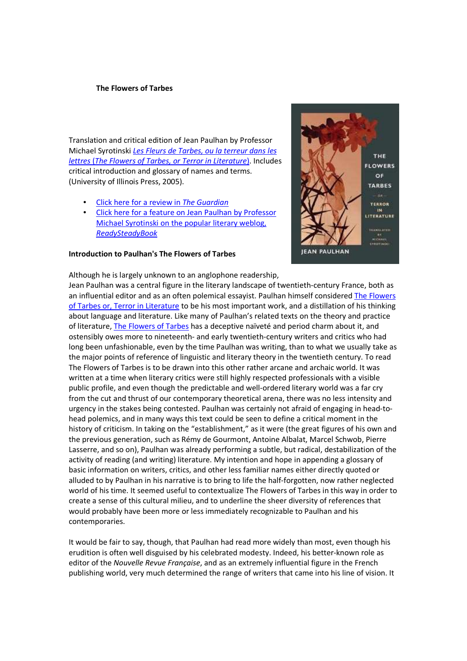# **The Flowers of Tarbes**

Translation and critical edition of Jean Paulhan by Professor Michael Syrotinski *Les Fleurs de Tarbes, ou la terreur dans les lettres* (*The Flowers of Tarbes, or Terror in Literature*). Includes critical introduction and glossary of names and terms. (University of Illinois Press, 2005).

- Click here for a review in *The Guardian*
- Click here for a feature on Jean Paulhan by Professor Michael Syrotinski on the popular literary weblog, *ReadySteadyBook*

## **Introduction to Paulhan's The Flowers of Tarbes**



Although he is largely unknown to an anglophone readership, Jean Paulhan was a central figure in the literary landscape of twentieth-century France, both as an influential editor and as an often polemical essayist. Paulhan himself considered The Flowers of Tarbes or, Terror in Literature to be his most important work, and a distillation of his thinking about language and literature. Like many of Paulhan's related texts on the theory and practice of literature, The Flowers of Tarbes has a deceptive naïveté and period charm about it, and ostensibly owes more to nineteenth- and early twentieth-century writers and critics who had long been unfashionable, even by the time Paulhan was writing, than to what we usually take as the major points of reference of linguistic and literary theory in the twentieth century. To read The Flowers of Tarbes is to be drawn into this other rather arcane and archaic world. It was written at a time when literary critics were still highly respected professionals with a visible public profile, and even though the predictable and well-ordered literary world was a far cry from the cut and thrust of our contemporary theoretical arena, there was no less intensity and urgency in the stakes being contested. Paulhan was certainly not afraid of engaging in head-tohead polemics, and in many ways this text could be seen to define a critical moment in the history of criticism. In taking on the "establishment," as it were (the great figures of his own and the previous generation, such as Rémy de Gourmont, Antoine Albalat, Marcel Schwob, Pierre

Lasserre, and so on), Paulhan was already performing a subtle, but radical, destabilization of the activity of reading (and writing) literature. My intention and hope in appending a glossary of basic information on writers, critics, and other less familiar names either directly quoted or alluded to by Paulhan in his narrative is to bring to life the half-forgotten, now rather neglected world of his time. It seemed useful to contextualize The Flowers of Tarbes in this way in order to create a sense of this cultural milieu, and to underline the sheer diversity of references that would probably have been more or less immediately recognizable to Paulhan and his contemporaries.

It would be fair to say, though, that Paulhan had read more widely than most, even though his erudition is often well disguised by his celebrated modesty. Indeed, his better-known role as editor of the *Nouvelle Revue Française*, and as an extremely influential figure in the French publishing world, very much determined the range of writers that came into his line of vision. It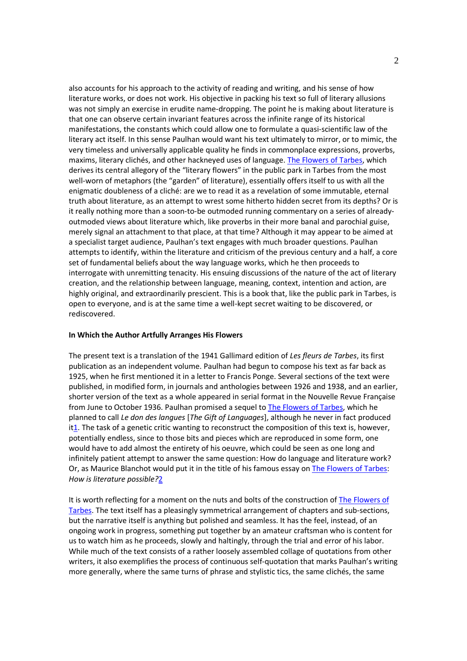also accounts for his approach to the activity of reading and writing, and his sense of how literature works, or does not work. His objective in packing his text so full of literary allusions was not simply an exercise in erudite name-dropping. The point he is making about literature is that one can observe certain invariant features across the infinite range of its historical manifestations, the constants which could allow one to formulate a quasi-scientific law of the literary act itself. In this sense Paulhan would want his text ultimately to mirror, or to mimic, the very timeless and universally applicable quality he finds in commonplace expressions, proverbs, maxims, literary clichés, and other hackneyed uses of language. The Flowers of Tarbes, which derives its central allegory of the "literary flowers" in the public park in Tarbes from the most well-worn of metaphors (the "garden" of literature), essentially offers itself to us with all the enigmatic doubleness of a cliché: are we to read it as a revelation of some immutable, eternal truth about literature, as an attempt to wrest some hitherto hidden secret from its depths? Or is it really nothing more than a soon-to-be outmoded running commentary on a series of alreadyoutmoded views about literature which, like proverbs in their more banal and parochial guise, merely signal an attachment to that place, at that time? Although it may appear to be aimed at a specialist target audience, Paulhan's text engages with much broader questions. Paulhan attempts to identify, within the literature and criticism of the previous century and a half, a core set of fundamental beliefs about the way language works, which he then proceeds to interrogate with unremitting tenacity. His ensuing discussions of the nature of the act of literary creation, and the relationship between language, meaning, context, intention and action, are highly original, and extraordinarily prescient. This is a book that, like the public park in Tarbes, is open to everyone, and is at the same time a well-kept secret waiting to be discovered, or rediscovered.

# **In Which the Author Artfully Arranges His Flowers**

The present text is a translation of the 1941 Gallimard edition of *Les fleurs de Tarbes*, its first publication as an independent volume. Paulhan had begun to compose his text as far back as 1925, when he first mentioned it in a letter to Francis Ponge. Several sections of the text were published, in modified form, in journals and anthologies between 1926 and 1938, and an earlier, shorter version of the text as a whole appeared in serial format in the Nouvelle Revue Française from June to October 1936. Paulhan promised a sequel to The Flowers of Tarbes, which he planned to call *Le don des langues* [*The Gift of Languages*], although he never in fact produced it1. The task of a genetic critic wanting to reconstruct the composition of this text is, however, potentially endless, since to those bits and pieces which are reproduced in some form, one would have to add almost the entirety of his oeuvre, which could be seen as one long and infinitely patient attempt to answer the same question: How do language and literature work? Or, as Maurice Blanchot would put it in the title of his famous essay on The Flowers of Tarbes: *How is literature possible?*2

It is worth reflecting for a moment on the nuts and bolts of the construction of The Flowers of Tarbes. The text itself has a pleasingly symmetrical arrangement of chapters and sub-sections, but the narrative itself is anything but polished and seamless. It has the feel, instead, of an ongoing work in progress, something put together by an amateur craftsman who is content for us to watch him as he proceeds, slowly and haltingly, through the trial and error of his labor. While much of the text consists of a rather loosely assembled collage of quotations from other writers, it also exemplifies the process of continuous self-quotation that marks Paulhan's writing more generally, where the same turns of phrase and stylistic tics, the same clichés, the same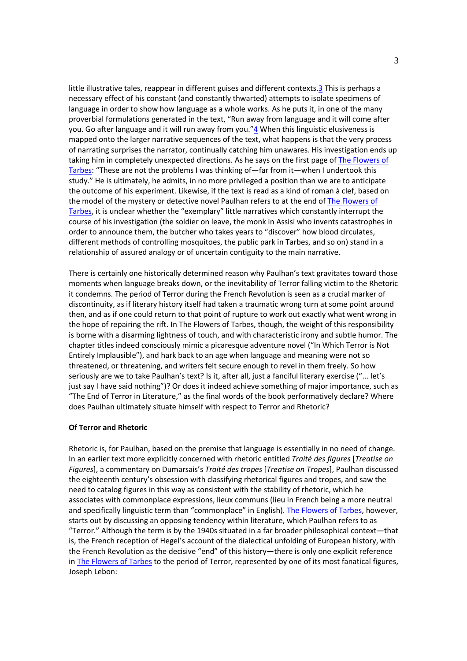little illustrative tales, reappear in different guises and different contexts.3 This is perhaps a necessary effect of his constant (and constantly thwarted) attempts to isolate specimens of language in order to show how language as a whole works. As he puts it, in one of the many proverbial formulations generated in the text, "Run away from language and it will come after you. Go after language and it will run away from you."4 When this linguistic elusiveness is mapped onto the larger narrative sequences of the text, what happens is that the very process of narrating surprises the narrator, continually catching him unawares. His investigation ends up taking him in completely unexpected directions. As he says on the first page of The Flowers of Tarbes: "These are not the problems I was thinking of—far from it—when I undertook this study." He is ultimately, he admits, in no more privileged a position than we are to anticipate the outcome of his experiment. Likewise, if the text is read as a kind of roman à clef, based on the model of the mystery or detective novel Paulhan refers to at the end of The Flowers of Tarbes, it is unclear whether the "exemplary" little narratives which constantly interrupt the course of his investigation (the soldier on leave, the monk in Assisi who invents catastrophes in order to announce them, the butcher who takes years to "discover" how blood circulates, different methods of controlling mosquitoes, the public park in Tarbes, and so on) stand in a relationship of assured analogy or of uncertain contiguity to the main narrative.

There is certainly one historically determined reason why Paulhan's text gravitates toward those moments when language breaks down, or the inevitability of Terror falling victim to the Rhetoric it condemns. The period of Terror during the French Revolution is seen as a crucial marker of discontinuity, as if literary history itself had taken a traumatic wrong turn at some point around then, and as if one could return to that point of rupture to work out exactly what went wrong in the hope of repairing the rift. In The Flowers of Tarbes, though, the weight of this responsibility is borne with a disarming lightness of touch, and with characteristic irony and subtle humor. The chapter titles indeed consciously mimic a picaresque adventure novel ("In Which Terror is Not Entirely Implausible"), and hark back to an age when language and meaning were not so threatened, or threatening, and writers felt secure enough to revel in them freely. So how seriously are we to take Paulhan's text? Is it, after all, just a fanciful literary exercise ("... let's just say I have said nothing")? Or does it indeed achieve something of major importance, such as "The End of Terror in Literature," as the final words of the book performatively declare? Where does Paulhan ultimately situate himself with respect to Terror and Rhetoric?

## **Of Terror and Rhetoric**

Rhetoric is, for Paulhan, based on the premise that language is essentially in no need of change. In an earlier text more explicitly concerned with rhetoric entitled *Traité des figures* [*Treatise on Figures*], a commentary on Dumarsais's *Traité des tropes* [*Treatise on Tropes*], Paulhan discussed the eighteenth century's obsession with classifying rhetorical figures and tropes, and saw the need to catalog figures in this way as consistent with the stability of rhetoric, which he associates with commonplace expressions, lieux communs (lieu in French being a more neutral and specifically linguistic term than "commonplace" in English). The Flowers of Tarbes, however, starts out by discussing an opposing tendency within literature, which Paulhan refers to as "Terror." Although the term is by the 1940s situated in a far broader philosophical context—that is, the French reception of Hegel's account of the dialectical unfolding of European history, with the French Revolution as the decisive "end" of this history—there is only one explicit reference in The Flowers of Tarbes to the period of Terror, represented by one of its most fanatical figures, Joseph Lebon: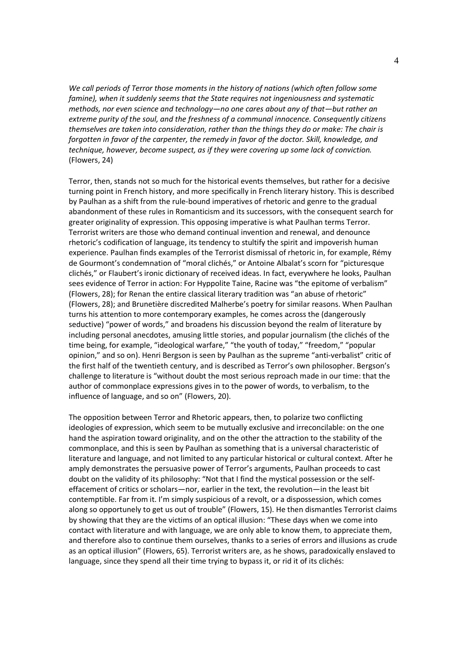*We call periods of Terror those moments in the history of nations (which often follow some famine), when it suddenly seems that the State requires not ingeniousness and systematic methods, nor even science and technology—no one cares about any of that—but rather an extreme purity of the soul, and the freshness of a communal innocence. Consequently citizens themselves are taken into consideration, rather than the things they do or make: The chair is forgotten in favor of the carpenter, the remedy in favor of the doctor. Skill, knowledge, and technique, however, become suspect, as if they were covering up some lack of conviction.* (Flowers, 24)

Terror, then, stands not so much for the historical events themselves, but rather for a decisive turning point in French history, and more specifically in French literary history. This is described by Paulhan as a shift from the rule-bound imperatives of rhetoric and genre to the gradual abandonment of these rules in Romanticism and its successors, with the consequent search for greater originality of expression. This opposing imperative is what Paulhan terms Terror. Terrorist writers are those who demand continual invention and renewal, and denounce rhetoric's codification of language, its tendency to stultify the spirit and impoverish human experience. Paulhan finds examples of the Terrorist dismissal of rhetoric in, for example, Rémy de Gourmont's condemnation of "moral clichés," or Antoine Albalat's scorn for "picturesque clichés," or Flaubert's ironic dictionary of received ideas. In fact, everywhere he looks, Paulhan sees evidence of Terror in action: For Hyppolite Taine, Racine was "the epitome of verbalism" (Flowers, 28); for Renan the entire classical literary tradition was "an abuse of rhetoric" (Flowers, 28); and Brunetière discredited Malherbe's poetry for similar reasons. When Paulhan turns his attention to more contemporary examples, he comes across the (dangerously seductive) "power of words," and broadens his discussion beyond the realm of literature by including personal anecdotes, amusing little stories, and popular journalism (the clichés of the time being, for example, "ideological warfare," "the youth of today," "freedom," "popular opinion," and so on). Henri Bergson is seen by Paulhan as the supreme "anti-verbalist" critic of the first half of the twentieth century, and is described as Terror's own philosopher. Bergson's challenge to literature is "without doubt the most serious reproach made in our time: that the author of commonplace expressions gives in to the power of words, to verbalism, to the influence of language, and so on" (Flowers, 20).

The opposition between Terror and Rhetoric appears, then, to polarize two conflicting ideologies of expression, which seem to be mutually exclusive and irreconcilable: on the one hand the aspiration toward originality, and on the other the attraction to the stability of the commonplace, and this is seen by Paulhan as something that is a universal characteristic of literature and language, and not limited to any particular historical or cultural context. After he amply demonstrates the persuasive power of Terror's arguments, Paulhan proceeds to cast doubt on the validity of its philosophy: "Not that I find the mystical possession or the selfeffacement of critics or scholars—nor, earlier in the text, the revolution—in the least bit contemptible. Far from it. I'm simply suspicious of a revolt, or a dispossession, which comes along so opportunely to get us out of trouble" (Flowers, 15). He then dismantles Terrorist claims by showing that they are the victims of an optical illusion: "These days when we come into contact with literature and with language, we are only able to know them, to appreciate them, and therefore also to continue them ourselves, thanks to a series of errors and illusions as crude as an optical illusion" (Flowers, 65). Terrorist writers are, as he shows, paradoxically enslaved to language, since they spend all their time trying to bypass it, or rid it of its clichés: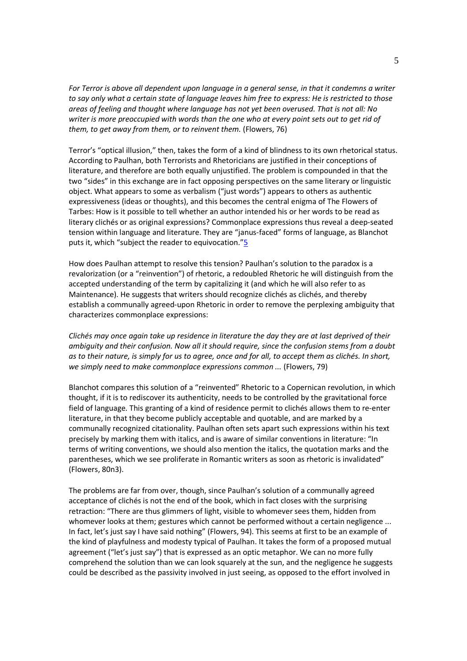*For Terror is above all dependent upon language in a general sense, in that it condemns a writer to say only what a certain state of language leaves him free to express: He is restricted to those areas of feeling and thought where language has not yet been overused. That is not all: No writer is more preoccupied with words than the one who at every point sets out to get rid of them, to get away from them, or to reinvent them.* (Flowers, 76)

Terror's "optical illusion," then, takes the form of a kind of blindness to its own rhetorical status. According to Paulhan, both Terrorists and Rhetoricians are justified in their conceptions of literature, and therefore are both equally unjustified. The problem is compounded in that the two "sides" in this exchange are in fact opposing perspectives on the same literary or linguistic object. What appears to some as verbalism ("just words") appears to others as authentic expressiveness (ideas or thoughts), and this becomes the central enigma of The Flowers of Tarbes: How is it possible to tell whether an author intended his or her words to be read as literary clichés or as original expressions? Commonplace expressions thus reveal a deep-seated tension within language and literature. They are "janus-faced" forms of language, as Blanchot puts it, which "subject the reader to equivocation."5

How does Paulhan attempt to resolve this tension? Paulhan's solution to the paradox is a revalorization (or a "reinvention") of rhetoric, a redoubled Rhetoric he will distinguish from the accepted understanding of the term by capitalizing it (and which he will also refer to as Maintenance). He suggests that writers should recognize clichés as clichés, and thereby establish a communally agreed-upon Rhetoric in order to remove the perplexing ambiguity that characterizes commonplace expressions:

*Clichés may once again take up residence in literature the day they are at last deprived of their ambiguity and their confusion. Now all it should require, since the confusion stems from a doubt as to their nature, is simply for us to agree, once and for all, to accept them as clichés. In short, we simply need to make commonplace expressions common ...* (Flowers, 79)

Blanchot compares this solution of a "reinvented" Rhetoric to a Copernican revolution, in which thought, if it is to rediscover its authenticity, needs to be controlled by the gravitational force field of language. This granting of a kind of residence permit to clichés allows them to re-enter literature, in that they become publicly acceptable and quotable, and are marked by a communally recognized citationality. Paulhan often sets apart such expressions within his text precisely by marking them with italics, and is aware of similar conventions in literature: "In terms of writing conventions, we should also mention the italics, the quotation marks and the parentheses, which we see proliferate in Romantic writers as soon as rhetoric is invalidated" (Flowers, 80n3).

The problems are far from over, though, since Paulhan's solution of a communally agreed acceptance of clichés is not the end of the book, which in fact closes with the surprising retraction: "There are thus glimmers of light, visible to whomever sees them, hidden from whomever looks at them; gestures which cannot be performed without a certain negligence ... In fact, let's just say I have said nothing" (Flowers, 94). This seems at first to be an example of the kind of playfulness and modesty typical of Paulhan. It takes the form of a proposed mutual agreement ("let's just say") that is expressed as an optic metaphor. We can no more fully comprehend the solution than we can look squarely at the sun, and the negligence he suggests could be described as the passivity involved in just seeing, as opposed to the effort involved in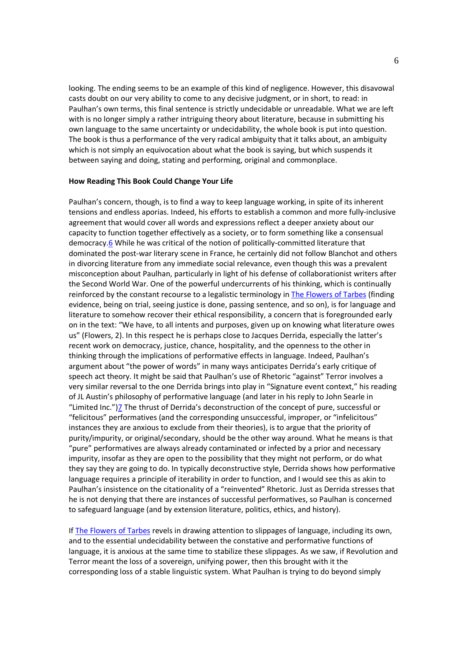looking. The ending seems to be an example of this kind of negligence. However, this disavowal casts doubt on our very ability to come to any decisive judgment, or in short, to read: in Paulhan's own terms, this final sentence is strictly undecidable or unreadable. What we are left with is no longer simply a rather intriguing theory about literature, because in submitting his own language to the same uncertainty or undecidability, the whole book is put into question. The book is thus a performance of the very radical ambiguity that it talks about, an ambiguity which is not simply an equivocation about what the book is saying, but which suspends it between saying and doing, stating and performing, original and commonplace.

### **How Reading This Book Could Change Your Life**

Paulhan's concern, though, is to find a way to keep language working, in spite of its inherent tensions and endless aporias. Indeed, his efforts to establish a common and more fully-inclusive agreement that would cover all words and expressions reflect a deeper anxiety about our capacity to function together effectively as a society, or to form something like a consensual democracy.6 While he was critical of the notion of politically-committed literature that dominated the post-war literary scene in France, he certainly did not follow Blanchot and others in divorcing literature from any immediate social relevance, even though this was a prevalent misconception about Paulhan, particularly in light of his defense of collaborationist writers after the Second World War. One of the powerful undercurrents of his thinking, which is continually reinforced by the constant recourse to a legalistic terminology in The Flowers of Tarbes (finding evidence, being on trial, seeing justice is done, passing sentence, and so on), is for language and literature to somehow recover their ethical responsibility, a concern that is foregrounded early on in the text: "We have, to all intents and purposes, given up on knowing what literature owes us" (Flowers, 2). In this respect he is perhaps close to Jacques Derrida, especially the latter's recent work on democracy, justice, chance, hospitality, and the openness to the other in thinking through the implications of performative effects in language. Indeed, Paulhan's argument about "the power of words" in many ways anticipates Derrida's early critique of speech act theory. It might be said that Paulhan's use of Rhetoric "against" Terror involves a very similar reversal to the one Derrida brings into play in "Signature event context," his reading of JL Austin's philosophy of performative language (and later in his reply to John Searle in "Limited Inc.")7 The thrust of Derrida's deconstruction of the concept of pure, successful or "felicitous" performatives (and the corresponding unsuccessful, improper, or "infelicitous" instances they are anxious to exclude from their theories), is to argue that the priority of purity/impurity, or original/secondary, should be the other way around. What he means is that "pure" performatives are always already contaminated or infected by a prior and necessary impurity, insofar as they are open to the possibility that they might not perform, or do what they say they are going to do. In typically deconstructive style, Derrida shows how performative language requires a principle of iterability in order to function, and I would see this as akin to Paulhan's insistence on the citationality of a "reinvented" Rhetoric. Just as Derrida stresses that he is not denying that there are instances of successful performatives, so Paulhan is concerned to safeguard language (and by extension literature, politics, ethics, and history).

If The Flowers of Tarbes revels in drawing attention to slippages of language, including its own, and to the essential undecidability between the constative and performative functions of language, it is anxious at the same time to stabilize these slippages. As we saw, if Revolution and Terror meant the loss of a sovereign, unifying power, then this brought with it the corresponding loss of a stable linguistic system. What Paulhan is trying to do beyond simply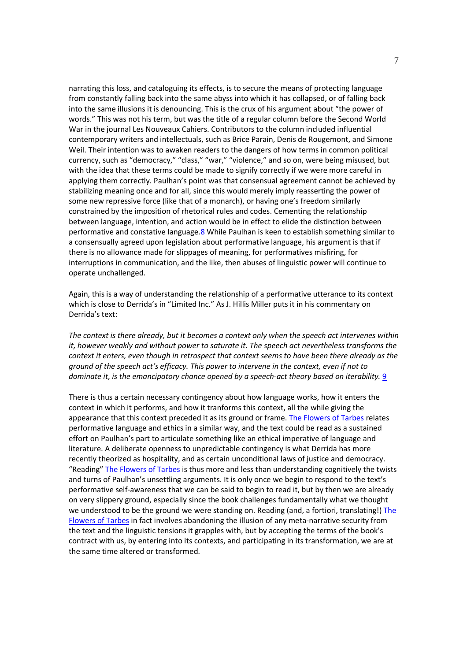narrating this loss, and cataloguing its effects, is to secure the means of protecting language from constantly falling back into the same abyss into which it has collapsed, or of falling back into the same illusions it is denouncing. This is the crux of his argument about "the power of words." This was not his term, but was the title of a regular column before the Second World War in the journal Les Nouveaux Cahiers. Contributors to the column included influential contemporary writers and intellectuals, such as Brice Parain, Denis de Rougemont, and Simone Weil. Their intention was to awaken readers to the dangers of how terms in common political currency, such as "democracy," "class," "war," "violence," and so on, were being misused, but with the idea that these terms could be made to signify correctly if we were more careful in applying them correctly. Paulhan's point was that consensual agreement cannot be achieved by stabilizing meaning once and for all, since this would merely imply reasserting the power of some new repressive force (like that of a monarch), or having one's freedom similarly constrained by the imposition of rhetorical rules and codes. Cementing the relationship between language, intention, and action would be in effect to elide the distinction between performative and constative language.8 While Paulhan is keen to establish something similar to a consensually agreed upon legislation about performative language, his argument is that if there is no allowance made for slippages of meaning, for performatives misfiring, for interruptions in communication, and the like, then abuses of linguistic power will continue to operate unchallenged.

Again, this is a way of understanding the relationship of a performative utterance to its context which is close to Derrida's in "Limited Inc." As J. Hillis Miller puts it in his commentary on Derrida's text:

*The context is there already, but it becomes a context only when the speech act intervenes within it, however weakly and without power to saturate it. The speech act nevertheless transforms the context it enters, even though in retrospect that context seems to have been there already as the ground of the speech act's efficacy. This power to intervene in the context, even if not to dominate it, is the emancipatory chance opened by a speech-act theory based on iterability.* 9

There is thus a certain necessary contingency about how language works, how it enters the context in which it performs, and how it tranforms this context, all the while giving the appearance that this context preceded it as its ground or frame. The Flowers of Tarbes relates performative language and ethics in a similar way, and the text could be read as a sustained effort on Paulhan's part to articulate something like an ethical imperative of language and literature. A deliberate openness to unpredictable contingency is what Derrida has more recently theorized as hospitality, and as certain unconditional laws of justice and democracy. "Reading" The Flowers of Tarbes is thus more and less than understanding cognitively the twists and turns of Paulhan's unsettling arguments. It is only once we begin to respond to the text's performative self-awareness that we can be said to begin to read it, but by then we are already on very slippery ground, especially since the book challenges fundamentally what we thought we understood to be the ground we were standing on. Reading (and, a fortiori, translating!) The Flowers of Tarbes in fact involves abandoning the illusion of any meta-narrative security from the text and the linguistic tensions it grapples with, but by accepting the terms of the book's contract with us, by entering into its contexts, and participating in its transformation, we are at the same time altered or transformed.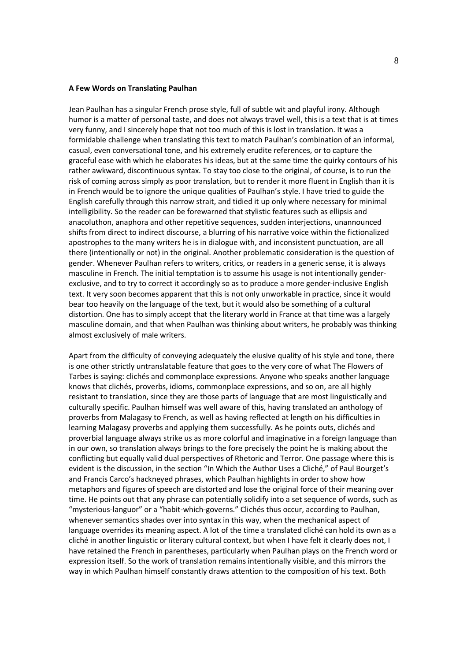#### **A Few Words on Translating Paulhan**

Jean Paulhan has a singular French prose style, full of subtle wit and playful irony. Although humor is a matter of personal taste, and does not always travel well, this is a text that is at times very funny, and I sincerely hope that not too much of this is lost in translation. It was a formidable challenge when translating this text to match Paulhan's combination of an informal, casual, even conversational tone, and his extremely erudite references, or to capture the graceful ease with which he elaborates his ideas, but at the same time the quirky contours of his rather awkward, discontinuous syntax. To stay too close to the original, of course, is to run the risk of coming across simply as poor translation, but to render it more fluent in English than it is in French would be to ignore the unique qualities of Paulhan's style. I have tried to guide the English carefully through this narrow strait, and tidied it up only where necessary for minimal intelligibility. So the reader can be forewarned that stylistic features such as ellipsis and anacoluthon, anaphora and other repetitive sequences, sudden interjections, unannounced shifts from direct to indirect discourse, a blurring of his narrative voice within the fictionalized apostrophes to the many writers he is in dialogue with, and inconsistent punctuation, are all there (intentionally or not) in the original. Another problematic consideration is the question of gender. Whenever Paulhan refers to writers, critics, or readers in a generic sense, it is always masculine in French. The initial temptation is to assume his usage is not intentionally genderexclusive, and to try to correct it accordingly so as to produce a more gender-inclusive English text. It very soon becomes apparent that this is not only unworkable in practice, since it would bear too heavily on the language of the text, but it would also be something of a cultural distortion. One has to simply accept that the literary world in France at that time was a largely masculine domain, and that when Paulhan was thinking about writers, he probably was thinking almost exclusively of male writers.

Apart from the difficulty of conveying adequately the elusive quality of his style and tone, there is one other strictly untranslatable feature that goes to the very core of what The Flowers of Tarbes is saying: clichés and commonplace expressions. Anyone who speaks another language knows that clichés, proverbs, idioms, commonplace expressions, and so on, are all highly resistant to translation, since they are those parts of language that are most linguistically and culturally specific. Paulhan himself was well aware of this, having translated an anthology of proverbs from Malagasy to French, as well as having reflected at length on his difficulties in learning Malagasy proverbs and applying them successfully. As he points outs, clichés and proverbial language always strike us as more colorful and imaginative in a foreign language than in our own, so translation always brings to the fore precisely the point he is making about the conflicting but equally valid dual perspectives of Rhetoric and Terror. One passage where this is evident is the discussion, in the section "In Which the Author Uses a Cliché," of Paul Bourget's and Francis Carco's hackneyed phrases, which Paulhan highlights in order to show how metaphors and figures of speech are distorted and lose the original force of their meaning over time. He points out that any phrase can potentially solidify into a set sequence of words, such as "mysterious-languor" or a "habit-which-governs." Clichés thus occur, according to Paulhan, whenever semantics shades over into syntax in this way, when the mechanical aspect of language overrides its meaning aspect. A lot of the time a translated cliché can hold its own as a cliché in another linguistic or literary cultural context, but when I have felt it clearly does not, I have retained the French in parentheses, particularly when Paulhan plays on the French word or expression itself. So the work of translation remains intentionally visible, and this mirrors the way in which Paulhan himself constantly draws attention to the composition of his text. Both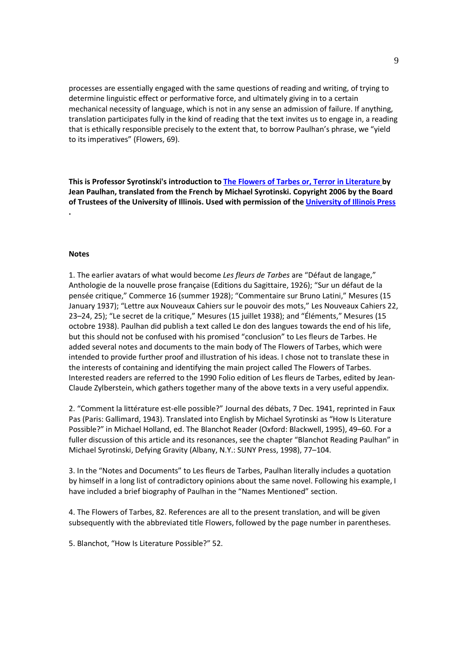processes are essentially engaged with the same questions of reading and writing, of trying to determine linguistic effect or performative force, and ultimately giving in to a certain mechanical necessity of language, which is not in any sense an admission of failure. If anything, translation participates fully in the kind of reading that the text invites us to engage in, a reading that is ethically responsible precisely to the extent that, to borrow Paulhan's phrase, we "yield to its imperatives" (Flowers, 69).

**This is Professor Syrotinski's introduction to The Flowers of Tarbes or, Terror in Literature by Jean Paulhan, translated from the French by Michael Syrotinski. Copyright 2006 by the Board of Trustees of the University of Illinois. Used with permission of the University of Illinois Press .**

### **Notes**

1. The earlier avatars of what would become *Les fleurs de Tarbes* are "Défaut de langage," Anthologie de la nouvelle prose française (Editions du Sagittaire, 1926); "Sur un défaut de la pensée critique," Commerce 16 (summer 1928); "Commentaire sur Bruno Latini," Mesures (15 January 1937); "Lettre aux Nouveaux Cahiers sur le pouvoir des mots," Les Nouveaux Cahiers 22, 23–24, 25); "Le secret de la critique," Mesures (15 juillet 1938); and "Éléments," Mesures (15 octobre 1938). Paulhan did publish a text called Le don des langues towards the end of his life, but this should not be confused with his promised "conclusion" to Les fleurs de Tarbes. He added several notes and documents to the main body of The Flowers of Tarbes, which were intended to provide further proof and illustration of his ideas. I chose not to translate these in the interests of containing and identifying the main project called The Flowers of Tarbes. Interested readers are referred to the 1990 Folio edition of Les fleurs de Tarbes, edited by Jean-Claude Zylberstein, which gathers together many of the above texts in a very useful appendix.

2. "Comment la littérature est-elle possible?" Journal des débats, 7 Dec. 1941, reprinted in Faux Pas (Paris: Gallimard, 1943). Translated into English by Michael Syrotinski as "How Is Literature Possible?" in Michael Holland, ed. The Blanchot Reader (Oxford: Blackwell, 1995), 49–60. For a fuller discussion of this article and its resonances, see the chapter "Blanchot Reading Paulhan" in Michael Syrotinski, Defying Gravity (Albany, N.Y.: SUNY Press, 1998), 77–104.

3. In the "Notes and Documents" to Les fleurs de Tarbes, Paulhan literally includes a quotation by himself in a long list of contradictory opinions about the same novel. Following his example, I have included a brief biography of Paulhan in the "Names Mentioned" section.

4. The Flowers of Tarbes, 82. References are all to the present translation, and will be given subsequently with the abbreviated title Flowers, followed by the page number in parentheses.

5. Blanchot, "How Is Literature Possible?" 52.